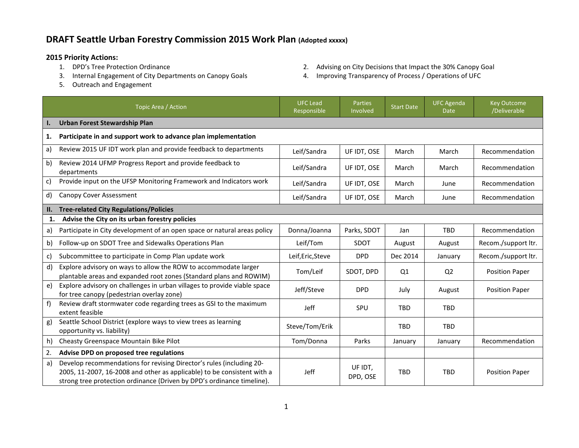## **DRAFT Seattle Urban Forestry Commission 2015 Work Plan (Adopted xxxxx)**

- **2015 Priority Actions:**
	-
	- 5. Outreach and Engagement
- 2. Advising on City Decisions that Impact the 30% Canopy Goal
- 3. Internal Engagement of City Departments on Canopy Goals 4. Improving Transparency of Process / Operations of UFC

|              | Topic Area / Action                                                                                                                                                                                                       | <b>UFC Lead</b><br>Responsible | <b>Parties</b><br>Involved | <b>Start Date</b> | <b>UFC Agenda</b><br><b>Date</b> | <b>Key Outcome</b><br>/Deliverable |  |  |  |
|--------------|---------------------------------------------------------------------------------------------------------------------------------------------------------------------------------------------------------------------------|--------------------------------|----------------------------|-------------------|----------------------------------|------------------------------------|--|--|--|
| Ι.           | <b>Urban Forest Stewardship Plan</b>                                                                                                                                                                                      |                                |                            |                   |                                  |                                    |  |  |  |
| 1.           | Participate in and support work to advance plan implementation                                                                                                                                                            |                                |                            |                   |                                  |                                    |  |  |  |
| a)           | Review 2015 UF IDT work plan and provide feedback to departments                                                                                                                                                          | Leif/Sandra                    | UF IDT, OSE                | March             | March                            | Recommendation                     |  |  |  |
| b)           | Review 2014 UFMP Progress Report and provide feedback to<br>departments                                                                                                                                                   | Leif/Sandra                    | UF IDT, OSE                | March             | March                            | Recommendation                     |  |  |  |
| c)           | Provide input on the UFSP Monitoring Framework and Indicators work                                                                                                                                                        | Leif/Sandra                    | UF IDT, OSE                | March             | June                             | Recommendation                     |  |  |  |
| d)           | Canopy Cover Assessment                                                                                                                                                                                                   | Leif/Sandra                    | UF IDT, OSE                | March             | June                             | Recommendation                     |  |  |  |
| II.          | <b>Tree-related City Regulations/Policies</b>                                                                                                                                                                             |                                |                            |                   |                                  |                                    |  |  |  |
| $\mathbf{1}$ | Advise the City on its urban forestry policies                                                                                                                                                                            |                                |                            |                   |                                  |                                    |  |  |  |
| a)           | Participate in City development of an open space or natural areas policy                                                                                                                                                  | Donna/Joanna                   | Parks, SDOT                | Jan               | <b>TBD</b>                       | Recommendation                     |  |  |  |
| b)           | Follow-up on SDOT Tree and Sidewalks Operations Plan                                                                                                                                                                      | Leif/Tom                       | SDOT                       | August            | August                           | Recom./support ltr.                |  |  |  |
| C)           | Subcommittee to participate in Comp Plan update work                                                                                                                                                                      | Leif, Eric, Steve              | <b>DPD</b>                 | Dec 2014          | January                          | Recom./support ltr.                |  |  |  |
| d)           | Explore advisory on ways to allow the ROW to accommodate larger<br>plantable areas and expanded root zones (Standard plans and ROWIM)                                                                                     | Tom/Leif                       | SDOT, DPD                  | Q1                | Q <sub>2</sub>                   | <b>Position Paper</b>              |  |  |  |
| e)           | Explore advisory on challenges in urban villages to provide viable space<br>for tree canopy (pedestrian overlay zone)                                                                                                     | Jeff/Steve                     | <b>DPD</b>                 | July              | August                           | <b>Position Paper</b>              |  |  |  |
| f            | Review draft stormwater code regarding trees as GSI to the maximum<br>extent feasible                                                                                                                                     | <b>Jeff</b>                    | <b>SPU</b>                 | <b>TBD</b>        | <b>TBD</b>                       |                                    |  |  |  |
| g)           | Seattle School District (explore ways to view trees as learning<br>opportunity vs. liability)                                                                                                                             | Steve/Tom/Erik                 |                            | <b>TBD</b>        | <b>TBD</b>                       |                                    |  |  |  |
| h)           | Cheasty Greenspace Mountain Bike Pilot                                                                                                                                                                                    | Tom/Donna                      | Parks                      | January           | January                          | Recommendation                     |  |  |  |
| 2.           | Advise DPD on proposed tree regulations                                                                                                                                                                                   |                                |                            |                   |                                  |                                    |  |  |  |
| a)           | Develop recommendations for revising Director's rules (including 20-<br>2005, 11-2007, 16-2008 and other as applicable) to be consistent with a<br>strong tree protection ordinance (Driven by DPD's ordinance timeline). | <b>Jeff</b>                    | UF IDT,<br>DPD, OSE        | <b>TBD</b>        | <b>TBD</b>                       | <b>Position Paper</b>              |  |  |  |